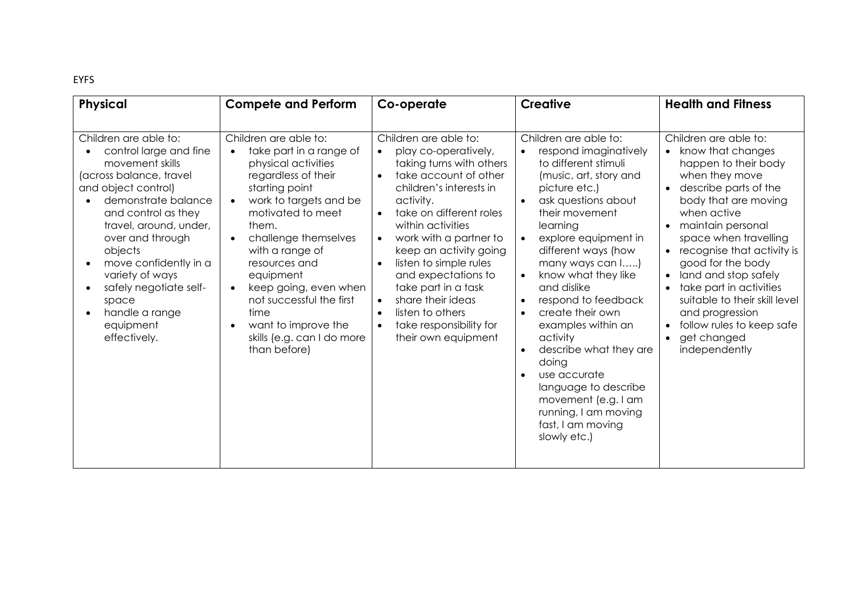EYFS

| <b>Physical</b>                                                                                                                                                                                                                                                                                                                                           | <b>Compete and Perform</b>                                                                                                                                                                                                                                                                                                                                                                                                                           | Co-operate                                                                                                                                                                                                                                                                                                                                                                                                                     | <b>Creative</b>                                                                                                                                                                                                                                                                                                                                                                                                                                                                                                                                                                                           | <b>Health and Fitness</b>                                                                                                                                                                                                                                                                                                                                                                                                                                                                    |
|-----------------------------------------------------------------------------------------------------------------------------------------------------------------------------------------------------------------------------------------------------------------------------------------------------------------------------------------------------------|------------------------------------------------------------------------------------------------------------------------------------------------------------------------------------------------------------------------------------------------------------------------------------------------------------------------------------------------------------------------------------------------------------------------------------------------------|--------------------------------------------------------------------------------------------------------------------------------------------------------------------------------------------------------------------------------------------------------------------------------------------------------------------------------------------------------------------------------------------------------------------------------|-----------------------------------------------------------------------------------------------------------------------------------------------------------------------------------------------------------------------------------------------------------------------------------------------------------------------------------------------------------------------------------------------------------------------------------------------------------------------------------------------------------------------------------------------------------------------------------------------------------|----------------------------------------------------------------------------------------------------------------------------------------------------------------------------------------------------------------------------------------------------------------------------------------------------------------------------------------------------------------------------------------------------------------------------------------------------------------------------------------------|
| Children are able to:<br>control large and fine<br>movement skills<br>(across balance, travel<br>and object control)<br>demonstrate balance<br>and control as they<br>travel, around, under,<br>over and through<br>objects<br>move confidently in a<br>variety of ways<br>safely negotiate self-<br>space<br>handle a range<br>equipment<br>effectively. | Children are able to:<br>take part in a range of<br>$\bullet$<br>physical activities<br>regardless of their<br>starting point<br>work to targets and be<br>$\bullet$<br>motivated to meet<br>them.<br>challenge themselves<br>$\bullet$<br>with a range of<br>resources and<br>equipment<br>keep going, even when<br>$\bullet$<br>not successful the first<br>time<br>want to improve the<br>$\bullet$<br>skills (e.g. can I do more<br>than before) | Children are able to:<br>play co-operatively,<br>taking turns with others<br>take account of other<br>$\bullet$<br>children's interests in<br>activity.<br>take on different roles<br>within activities<br>work with a partner to<br>keep an activity going<br>listen to simple rules<br>and expectations to<br>take part in a task<br>share their ideas<br>listen to others<br>take responsibility for<br>their own equipment | Children are able to:<br>respond imaginatively<br>to different stimuli<br>(music, art, story and<br>picture etc.)<br>ask questions about<br>$\bullet$<br>their movement<br>learning<br>explore equipment in<br>different ways (how<br>many ways can l)<br>know what they like<br>$\bullet$<br>and dislike<br>respond to feedback<br>$\bullet$<br>create their own<br>$\bullet$<br>examples within an<br>activity<br>describe what they are<br>$\bullet$<br>doing<br>use accurate<br>$\bullet$<br>language to describe<br>movement (e.g. I am<br>running, I am moving<br>fast, I am moving<br>slowly etc.) | Children are able to:<br>• know that changes<br>happen to their body<br>when they move<br>describe parts of the<br>$\bullet$<br>body that are moving<br>when active<br>maintain personal<br>$\bullet$<br>space when travelling<br>recognise that activity is<br>$\bullet$<br>good for the body<br>land and stop safely<br>$\bullet$<br>take part in activities<br>suitable to their skill level<br>and progression<br>follow rules to keep safe<br>$\bullet$<br>get changed<br>independently |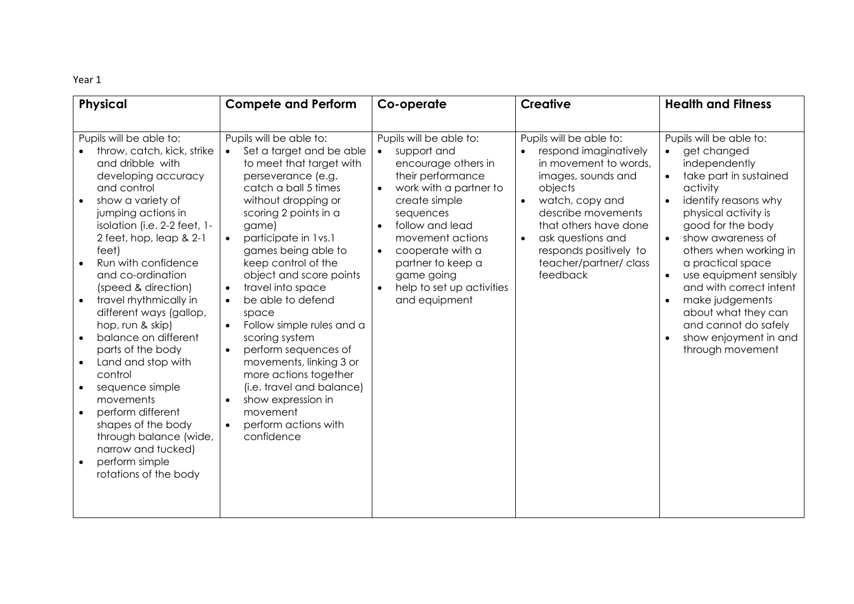| <b>Physical</b>                                                                                                                                                                                                                                                                                                                                                                                                                                                                                                                                                                                                                                                                                              | <b>Compete and Perform</b>                                                                                                                                                                                                                                                                                                                                                                                                                                                                                                                                                                                                                                            | Co-operate                                                                                                                                                                                                                                                                                                                    | <b>Creative</b>                                                                                                                                                                                                                                                                            | <b>Health and Fitness</b>                                                                                                                                                                                                                                                                                                                                                                                                                                                   |
|--------------------------------------------------------------------------------------------------------------------------------------------------------------------------------------------------------------------------------------------------------------------------------------------------------------------------------------------------------------------------------------------------------------------------------------------------------------------------------------------------------------------------------------------------------------------------------------------------------------------------------------------------------------------------------------------------------------|-----------------------------------------------------------------------------------------------------------------------------------------------------------------------------------------------------------------------------------------------------------------------------------------------------------------------------------------------------------------------------------------------------------------------------------------------------------------------------------------------------------------------------------------------------------------------------------------------------------------------------------------------------------------------|-------------------------------------------------------------------------------------------------------------------------------------------------------------------------------------------------------------------------------------------------------------------------------------------------------------------------------|--------------------------------------------------------------------------------------------------------------------------------------------------------------------------------------------------------------------------------------------------------------------------------------------|-----------------------------------------------------------------------------------------------------------------------------------------------------------------------------------------------------------------------------------------------------------------------------------------------------------------------------------------------------------------------------------------------------------------------------------------------------------------------------|
| Pupils will be able to:<br>throw, catch, kick, strike<br>and dribble with<br>developing accuracy<br>and control<br>show a variety of<br>$\bullet$<br>jumping actions in<br>isolation (i.e. 2-2 feet, 1-<br>2 feet, hop, leap & 2-1<br>feet)<br>Run with confidence<br>and co-ordination<br>(speed & direction)<br>travel rhythmically in<br>different ways (gallop,<br>hop, run & skip)<br>balance on different<br>$\bullet$<br>parts of the body<br>Land and stop with<br>$\bullet$<br>control<br>sequence simple<br>$\bullet$<br>movements<br>perform different<br>$\bullet$<br>shapes of the body<br>through balance (wide,<br>narrow and tucked)<br>perform simple<br>$\bullet$<br>rotations of the body | Pupils will be able to:<br>Set a target and be able<br>$\bullet$<br>to meet that target with<br>perseverance (e.g.<br>catch a ball 5 times<br>without dropping or<br>scoring 2 points in a<br>game)<br>participate in 1vs.1<br>$\bullet$<br>games being able to<br>keep control of the<br>object and score points<br>travel into space<br>$\bullet$<br>be able to defend<br>$\bullet$<br>space<br>Follow simple rules and a<br>scoring system<br>perform sequences of<br>$\bullet$<br>movements, linking 3 or<br>more actions together<br>(i.e. travel and balance)<br>show expression in<br>$\bullet$<br>movement<br>perform actions with<br>$\bullet$<br>confidence | Pupils will be able to:<br>support and<br>$\bullet$<br>encourage others in<br>their performance<br>work with a partner to<br>create simple<br>sequences<br>follow and lead<br>movement actions<br>cooperate with a<br>$\bullet$<br>partner to keep a<br>game going<br>help to set up activities<br>$\bullet$<br>and equipment | Pupils will be able to:<br>respond imaginatively<br>in movement to words,<br>images, sounds and<br>objects<br>watch, copy and<br>$\bullet$<br>describe movements<br>that others have done<br>ask questions and<br>$\bullet$<br>responds positively to<br>teacher/partner/class<br>feedback | Pupils will be able to:<br>get changed<br>independently<br>take part in sustained<br>$\bullet$<br>activity<br>identify reasons why<br>$\bullet$<br>physical activity is<br>good for the body<br>show awareness of<br>$\bullet$<br>others when working in<br>a practical space<br>use equipment sensibly<br>$\bullet$<br>and with correct intent<br>make judgements<br>about what they can<br>and cannot do safely<br>show enjoyment in and<br>$\bullet$<br>through movement |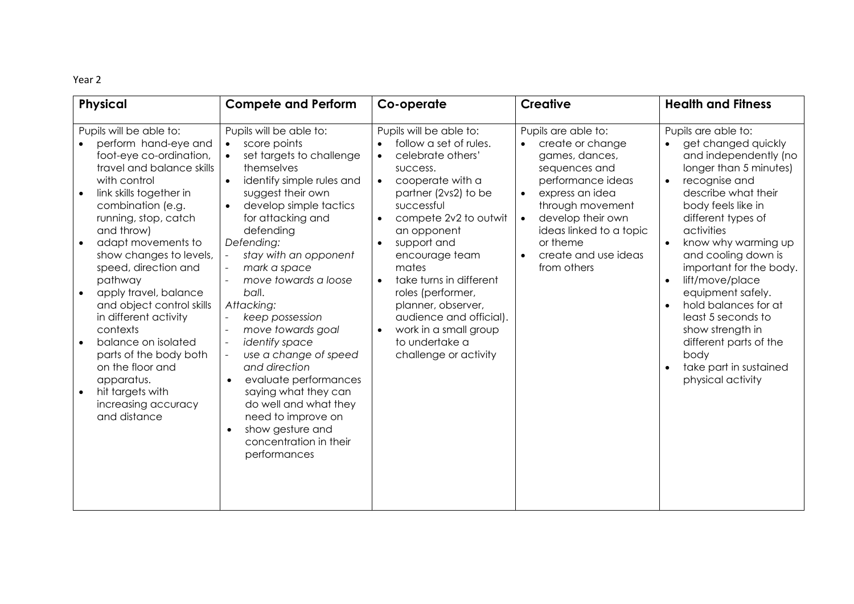| <b>Physical</b>                                                                                                                                                                                                                                                                                                                                                                                                                                                                                                                                                                   | <b>Compete and Perform</b>                                                                                                                                                                                                                                                                                                                                                                                                                                                                                                                                                                                                  | Co-operate                                                                                                                                                                                                                                                                                                                                                                                                                                                           | <b>Creative</b>                                                                                                                                                                                                                                                                  | <b>Health and Fitness</b>                                                                                                                                                                                                                                                                                                                                                                                                                                                                                               |
|-----------------------------------------------------------------------------------------------------------------------------------------------------------------------------------------------------------------------------------------------------------------------------------------------------------------------------------------------------------------------------------------------------------------------------------------------------------------------------------------------------------------------------------------------------------------------------------|-----------------------------------------------------------------------------------------------------------------------------------------------------------------------------------------------------------------------------------------------------------------------------------------------------------------------------------------------------------------------------------------------------------------------------------------------------------------------------------------------------------------------------------------------------------------------------------------------------------------------------|----------------------------------------------------------------------------------------------------------------------------------------------------------------------------------------------------------------------------------------------------------------------------------------------------------------------------------------------------------------------------------------------------------------------------------------------------------------------|----------------------------------------------------------------------------------------------------------------------------------------------------------------------------------------------------------------------------------------------------------------------------------|-------------------------------------------------------------------------------------------------------------------------------------------------------------------------------------------------------------------------------------------------------------------------------------------------------------------------------------------------------------------------------------------------------------------------------------------------------------------------------------------------------------------------|
| Pupils will be able to:<br>perform hand-eye and<br>foot-eye co-ordination,<br>travel and balance skills<br>with control<br>link skills together in<br>$\bullet$<br>combination (e.g.<br>running, stop, catch<br>and throw)<br>adapt movements to<br>$\bullet$<br>show changes to levels,<br>speed, direction and<br>pathway<br>apply travel, balance<br>and object control skills<br>in different activity<br>contexts<br>balance on isolated<br>$\bullet$<br>parts of the body both<br>on the floor and<br>apparatus.<br>hit targets with<br>increasing accuracy<br>and distance | Pupils will be able to:<br>score points<br>set targets to challenge<br>themselves<br>identify simple rules and<br>$\bullet$<br>suggest their own<br>develop simple tactics<br>$\bullet$<br>for attacking and<br>defending<br>Defending:<br>stay with an opponent<br>mark a space<br>move towards a loose<br>ball.<br>Attacking:<br>keep possession<br>move towards goal<br>identify space<br>use a change of speed<br>and direction<br>evaluate performances<br>$\bullet$<br>saying what they can<br>do well and what they<br>need to improve on<br>show gesture and<br>$\bullet$<br>concentration in their<br>performances | Pupils will be able to:<br>follow a set of rules.<br>celebrate others'<br>$\bullet$<br>success.<br>cooperate with a<br>$\bullet$<br>partner (2vs2) to be<br>successful<br>compete 2v2 to outwit<br>$\bullet$<br>an opponent<br>support and<br>encourage team<br>mates<br>take turns in different<br>$\bullet$<br>roles (performer,<br>planner, observer,<br>audience and official).<br>work in a small group<br>$\bullet$<br>to undertake a<br>challenge or activity | Pupils are able to:<br>create or change<br>games, dances,<br>sequences and<br>performance ideas<br>express an idea<br>$\bullet$<br>through movement<br>develop their own<br>$\bullet$<br>ideas linked to a topic<br>or theme<br>create and use ideas<br>$\bullet$<br>from others | Pupils are able to:<br>get changed quickly<br>and independently (no<br>longer than 5 minutes)<br>recognise and<br>$\bullet$<br>describe what their<br>body feels like in<br>different types of<br>activities<br>know why warming up<br>and cooling down is<br>important for the body.<br>lift/move/place<br>$\bullet$<br>equipment safely.<br>hold balances for at<br>$\bullet$<br>least 5 seconds to<br>show strength in<br>different parts of the<br>body<br>take part in sustained<br>$\bullet$<br>physical activity |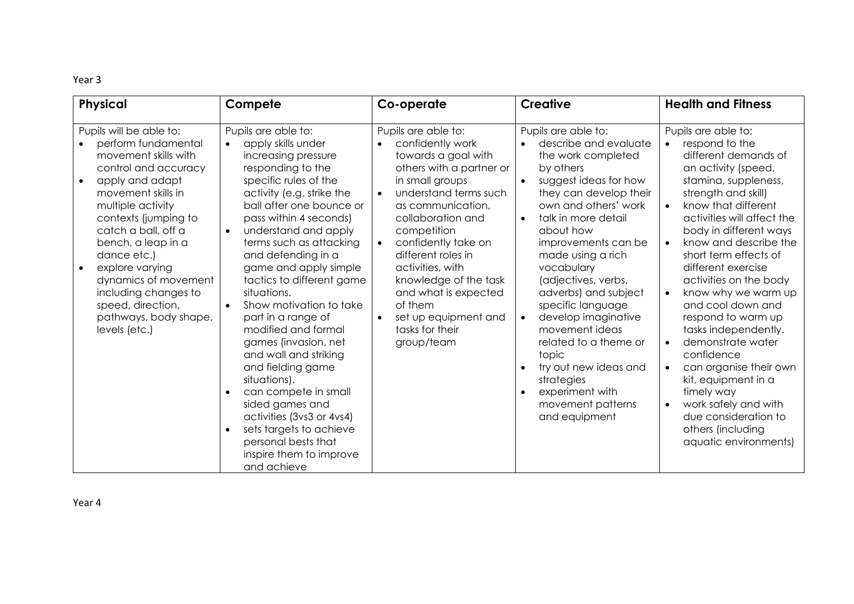| Physical                                                                                                                                                                                                                                                                                                                                                                                                     | Compete                                                                                                                                                                                                                                                                                                                                                                                                                                                                                                                                                                                                                                                                                        | Co-operate                                                                                                                                                                                                                                                                                                                                                                                         | <b>Creative</b>                                                                                                                                                                                                                                                                                                                                                                                                                                                                                                                   | <b>Health and Fitness</b>                                                                                                                                                                                                                                                                                                                                                                                                                                                                                                                                                                                                                                                                                 |
|--------------------------------------------------------------------------------------------------------------------------------------------------------------------------------------------------------------------------------------------------------------------------------------------------------------------------------------------------------------------------------------------------------------|------------------------------------------------------------------------------------------------------------------------------------------------------------------------------------------------------------------------------------------------------------------------------------------------------------------------------------------------------------------------------------------------------------------------------------------------------------------------------------------------------------------------------------------------------------------------------------------------------------------------------------------------------------------------------------------------|----------------------------------------------------------------------------------------------------------------------------------------------------------------------------------------------------------------------------------------------------------------------------------------------------------------------------------------------------------------------------------------------------|-----------------------------------------------------------------------------------------------------------------------------------------------------------------------------------------------------------------------------------------------------------------------------------------------------------------------------------------------------------------------------------------------------------------------------------------------------------------------------------------------------------------------------------|-----------------------------------------------------------------------------------------------------------------------------------------------------------------------------------------------------------------------------------------------------------------------------------------------------------------------------------------------------------------------------------------------------------------------------------------------------------------------------------------------------------------------------------------------------------------------------------------------------------------------------------------------------------------------------------------------------------|
| Pupils will be able to:<br>perform fundamental<br>movement skills with<br>control and accuracy<br>apply and adapt<br>$\bullet$<br>movement skills in<br>multiple activity<br>contexts (jumping to<br>catch a ball, off a<br>bench, a leap in a<br>dance etc.)<br>explore varying<br>$\bullet$<br>dynamics of movement<br>including changes to<br>speed, direction,<br>pathways, body shape,<br>levels (etc.) | Pupils are able to:<br>apply skills under<br>increasing pressure<br>responding to the<br>specific rules of the<br>activity (e.g. strike the<br>ball after one bounce or<br>pass within 4 seconds)<br>understand and apply<br>terms such as attacking<br>and defending in a<br>game and apply simple<br>tactics to different game<br>situations.<br>Show motivation to take<br>$\bullet$<br>part in a range of<br>modified and formal<br>games (invasion, net<br>and wall and striking<br>and fielding game<br>situations).<br>can compete in small<br>sided games and<br>activities (3vs3 or 4vs4)<br>sets targets to achieve<br>personal bests that<br>inspire them to improve<br>and achieve | Pupils are able to:<br>confidently work<br>towards a goal with<br>others with a partner or<br>in small groups<br>understand terms such<br>as communication,<br>collaboration and<br>competition<br>confidently take on<br>$\bullet$<br>different roles in<br>activities, with<br>knowledge of the task<br>and what is expected<br>of them<br>set up equipment and<br>tasks for their<br>group/team | Pupils are able to:<br>describe and evaluate<br>the work completed<br>by others<br>suggest ideas for how<br>$\bullet$<br>they can develop their<br>own and others' work<br>talk in more detail<br>$\bullet$<br>about how<br>improvements can be<br>made using a rich<br>vocabulary<br>(adjectives, verbs,<br>adverbs) and subject<br>specific language<br>develop imaginative<br>movement ideas<br>related to a theme or<br>topic<br>try out new ideas and<br>strategies<br>experiment with<br>movement patterns<br>and equipment | Pupils are able to:<br>respond to the<br>$\bullet$<br>different demands of<br>an activity (speed,<br>stamina, suppleness,<br>strength and skill)<br>know that different<br>$\bullet$<br>activities will affect the<br>body in different ways<br>know and describe the<br>$\bullet$<br>short term effects of<br>different exercise<br>activities on the body<br>know why we warm up<br>$\bullet$<br>and cool down and<br>respond to warm up<br>tasks independently.<br>demonstrate water<br>$\bullet$<br>confidence<br>can organise their own<br>$\bullet$<br>kit, equipment in a<br>timely way<br>work safely and with<br>$\bullet$<br>due consideration to<br>others (including<br>aquatic environments) |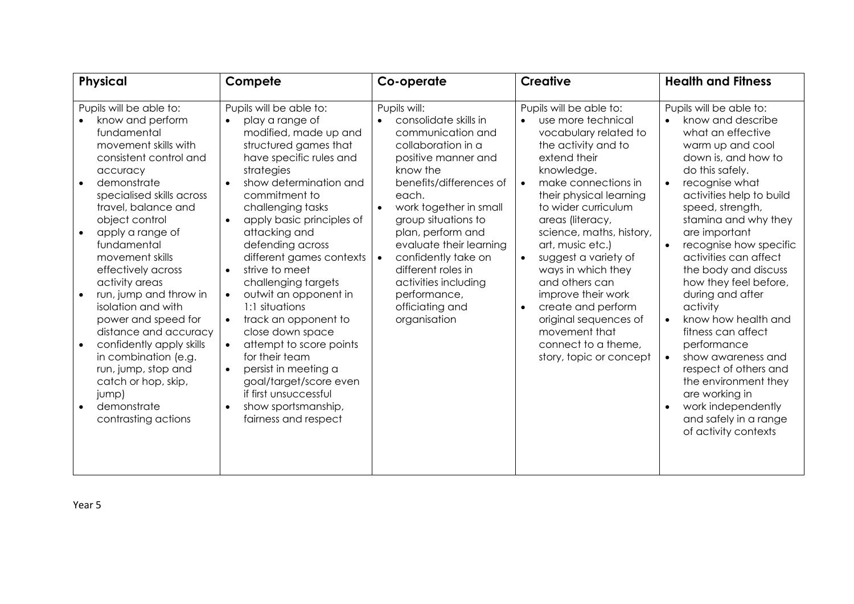| <b>Physical</b>                                                                                                                                                                                                                                                                                                                                                                                                                                                                                                                                                                                     | Compete                                                                                                                                                                                                                                                                                                                                                                                                                                                                                                                                                                                                                                                                                  | Co-operate                                                                                                                                                                                                                                                                                                                                                                                    | <b>Creative</b>                                                                                                                                                                                                                                                                                                                                                                                                                                                                                                         | <b>Health and Fitness</b>                                                                                                                                                                                                                                                                                                                                                                                                                                                                                                                                                                                                                                                                |
|-----------------------------------------------------------------------------------------------------------------------------------------------------------------------------------------------------------------------------------------------------------------------------------------------------------------------------------------------------------------------------------------------------------------------------------------------------------------------------------------------------------------------------------------------------------------------------------------------------|------------------------------------------------------------------------------------------------------------------------------------------------------------------------------------------------------------------------------------------------------------------------------------------------------------------------------------------------------------------------------------------------------------------------------------------------------------------------------------------------------------------------------------------------------------------------------------------------------------------------------------------------------------------------------------------|-----------------------------------------------------------------------------------------------------------------------------------------------------------------------------------------------------------------------------------------------------------------------------------------------------------------------------------------------------------------------------------------------|-------------------------------------------------------------------------------------------------------------------------------------------------------------------------------------------------------------------------------------------------------------------------------------------------------------------------------------------------------------------------------------------------------------------------------------------------------------------------------------------------------------------------|------------------------------------------------------------------------------------------------------------------------------------------------------------------------------------------------------------------------------------------------------------------------------------------------------------------------------------------------------------------------------------------------------------------------------------------------------------------------------------------------------------------------------------------------------------------------------------------------------------------------------------------------------------------------------------------|
| Pupils will be able to:<br>know and perform<br>fundamental<br>movement skills with<br>consistent control and<br>accuracy<br>demonstrate<br>$\bullet$<br>specialised skills across<br>travel, balance and<br>object control<br>apply a range of<br>fundamental<br>movement skills<br>effectively across<br>activity areas<br>run, jump and throw in<br>$\bullet$<br>isolation and with<br>power and speed for<br>distance and accuracy<br>confidently apply skills<br>$\bullet$<br>in combination (e.g.<br>run, jump, stop and<br>catch or hop, skip,<br>jump)<br>demonstrate<br>contrasting actions | Pupils will be able to:<br>play a range of<br>modified, made up and<br>structured games that<br>have specific rules and<br>strategies<br>show determination and<br>$\bullet$<br>commitment to<br>challenging tasks<br>apply basic principles of<br>$\bullet$<br>attacking and<br>defending across<br>different games contexts<br>strive to meet<br>$\bullet$<br>challenging targets<br>outwit an opponent in<br>$\bullet$<br>1:1 situations<br>track an opponent to<br>$\bullet$<br>close down space<br>attempt to score points<br>$\bullet$<br>for their team<br>persist in meeting a<br>goal/target/score even<br>if first unsuccessful<br>show sportsmanship,<br>fairness and respect | Pupils will:<br>consolidate skills in<br>communication and<br>collaboration in a<br>positive manner and<br>know the<br>benefits/differences of<br>each.<br>work together in small<br>group situations to<br>plan, perform and<br>evaluate their learning<br>confidently take on<br>$\bullet$<br>different roles in<br>activities including<br>performance,<br>officiating and<br>organisation | Pupils will be able to:<br>use more technical<br>vocabulary related to<br>the activity and to<br>extend their<br>knowledge.<br>make connections in<br>$\bullet$<br>their physical learning<br>to wider curriculum<br>areas (literacy,<br>science, maths, history,<br>art, music etc.)<br>suggest a variety of<br>$\bullet$<br>ways in which they<br>and others can<br>improve their work<br>create and perform<br>$\bullet$<br>original sequences of<br>movement that<br>connect to a theme,<br>story, topic or concept | Pupils will be able to:<br>know and describe<br>$\bullet$<br>what an effective<br>warm up and cool<br>down is, and how to<br>do this safely.<br>recognise what<br>$\bullet$<br>activities help to build<br>speed, strength,<br>stamina and why they<br>are important<br>recognise how specific<br>$\bullet$<br>activities can affect<br>the body and discuss<br>how they feel before,<br>during and after<br>activity<br>know how health and<br>$\bullet$<br>fitness can affect<br>performance<br>show awareness and<br>$\bullet$<br>respect of others and<br>the environment they<br>are working in<br>work independently<br>$\bullet$<br>and safely in a range<br>of activity contexts |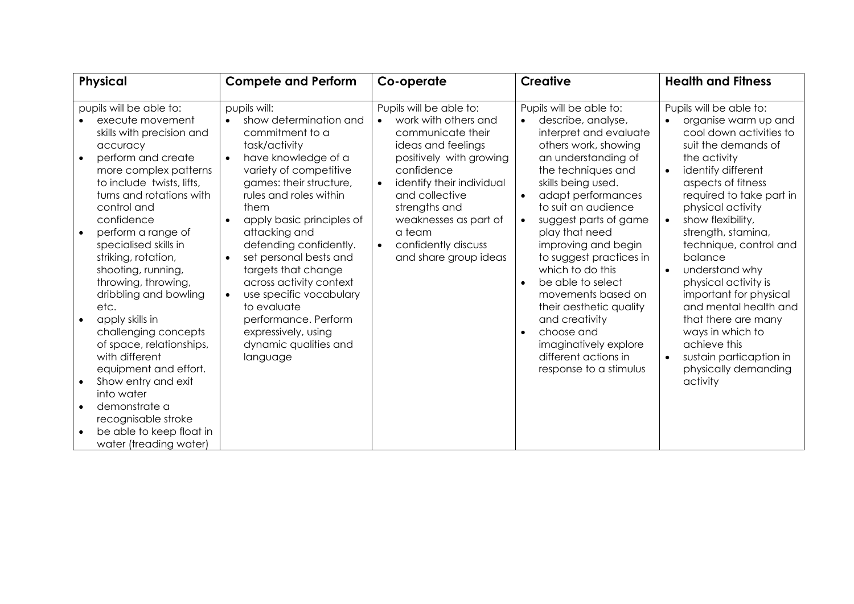| <b>Physical</b>                                                                                                                                                                                                                                                                                                                                                                                                                                                                                                                                   | <b>Compete and Perform</b>                                                                                                                                                                                                                                                                                                                                                                                                                                                                           | Co-operate                                                                                                                                                                                                                                                                                                       | <b>Creative</b>                                                                                                                                                                                                                                                                                                                                                                                                                                                                                                                                                                    | <b>Health and Fitness</b>                                                                                                                                                                                                                                                                                                                                                                                                                                                                                                                                                              |
|---------------------------------------------------------------------------------------------------------------------------------------------------------------------------------------------------------------------------------------------------------------------------------------------------------------------------------------------------------------------------------------------------------------------------------------------------------------------------------------------------------------------------------------------------|------------------------------------------------------------------------------------------------------------------------------------------------------------------------------------------------------------------------------------------------------------------------------------------------------------------------------------------------------------------------------------------------------------------------------------------------------------------------------------------------------|------------------------------------------------------------------------------------------------------------------------------------------------------------------------------------------------------------------------------------------------------------------------------------------------------------------|------------------------------------------------------------------------------------------------------------------------------------------------------------------------------------------------------------------------------------------------------------------------------------------------------------------------------------------------------------------------------------------------------------------------------------------------------------------------------------------------------------------------------------------------------------------------------------|----------------------------------------------------------------------------------------------------------------------------------------------------------------------------------------------------------------------------------------------------------------------------------------------------------------------------------------------------------------------------------------------------------------------------------------------------------------------------------------------------------------------------------------------------------------------------------------|
| pupils will be able to:<br>execute movement<br>skills with precision and<br>accuracy<br>perform and create<br>more complex patterns<br>to include twists, lifts,<br>turns and rotations with<br>control and<br>confidence<br>perform a range of<br>specialised skills in<br>striking, rotation,<br>shooting, running,<br>throwing, throwing,<br>dribbling and bowling<br>etc.<br>apply skills in<br>challenging concepts<br>of space, relationships,<br>with different<br>equipment and effort.<br>Show entry and exit<br>$\bullet$<br>into water | pupils will:<br>show determination and<br>$\bullet$<br>commitment to a<br>task/activity<br>have knowledge of a<br>variety of competitive<br>games: their structure,<br>rules and roles within<br>them<br>apply basic principles of<br>$\bullet$<br>attacking and<br>defending confidently.<br>set personal bests and<br>targets that change<br>across activity context<br>use specific vocabulary<br>to evaluate<br>performance. Perform<br>expressively, using<br>dynamic qualities and<br>language | Pupils will be able to:<br>work with others and<br>$\bullet$<br>communicate their<br>ideas and feelings<br>positively with growing<br>confidence<br>identify their individual<br>and collective<br>strengths and<br>weaknesses as part of<br>a team<br>confidently discuss<br>$\bullet$<br>and share group ideas | Pupils will be able to:<br>describe, analyse,<br>$\bullet$<br>interpret and evaluate<br>others work, showing<br>an understanding of<br>the techniques and<br>skills being used.<br>adapt performances<br>$\bullet$<br>to suit an audience<br>suggest parts of game<br>$\bullet$<br>play that need<br>improving and begin<br>to suggest practices in<br>which to do this<br>be able to select<br>$\bullet$<br>movements based on<br>their aesthetic quality<br>and creativity<br>choose and<br>$\bullet$<br>imaginatively explore<br>different actions in<br>response to a stimulus | Pupils will be able to:<br>organise warm up and<br>$\bullet$<br>cool down activities to<br>suit the demands of<br>the activity<br>identify different<br>$\bullet$<br>aspects of fitness<br>required to take part in<br>physical activity<br>show flexibility,<br>$\bullet$<br>strength, stamina,<br>technique, control and<br>balance<br>understand why<br>$\bullet$<br>physical activity is<br>important for physical<br>and mental health and<br>that there are many<br>ways in which to<br>achieve this<br>sustain particaption in<br>$\bullet$<br>physically demanding<br>activity |
| demonstrate a<br>$\bullet$<br>recognisable stroke<br>be able to keep float in<br>water (treading water)                                                                                                                                                                                                                                                                                                                                                                                                                                           |                                                                                                                                                                                                                                                                                                                                                                                                                                                                                                      |                                                                                                                                                                                                                                                                                                                  |                                                                                                                                                                                                                                                                                                                                                                                                                                                                                                                                                                                    |                                                                                                                                                                                                                                                                                                                                                                                                                                                                                                                                                                                        |